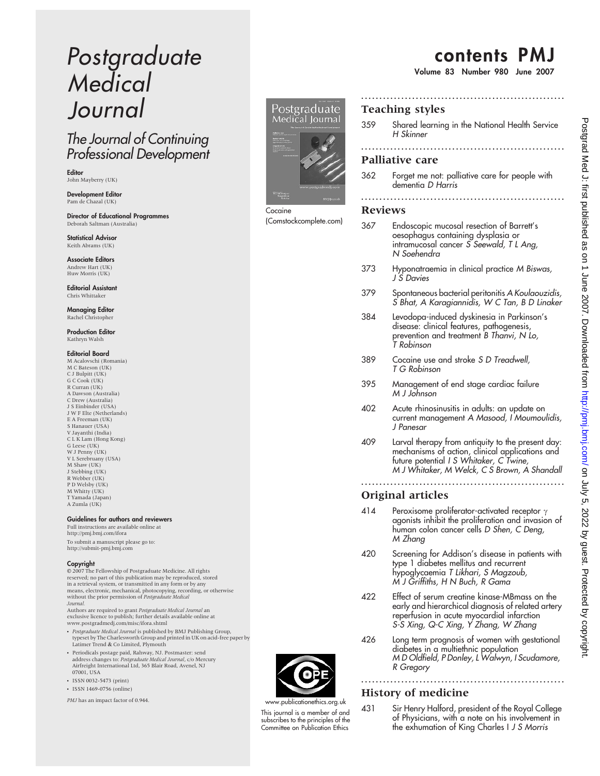# Postgraduate **Medical** Journal

## The Journal of Continuing Professional Development

Editor John Mayberry (UK)

**Development Editor**<br>Pam de Chazal (UK)

Director of Educational Programmes Deborah Saltman (Australia)

Statistical Advisor Keith Abrams (UK)

Associate Editors Andrew Hart (UK) Huw Morris (UK)

Editorial Assistant Chris Whittaker

Managing Editor Rachel Christopher

Production Editor Kathryn Walsh

#### Editorial Board

M Acalovschi (Romania) M C Bateson (UK) C J Bulpitt (UK) G C Cook (UK) R Curran (UK) A Dawson (Australia) C Drew (Australia) J S Einbinder (USA) J W F Elte (Netherlands) E A Freeman (UK) S Hanauer (USA) V Jayanthi (India) C L K Lam (Hong Kong) G Leese (UK) W J Penny (UK) V L Serebruany (USA) M Shaw (UK) J Stebbing (UK) R Webber (UK) P D Welsby (UK) M Whitty (UK) T Yamada (Japan) A Zumla (UK)

#### Guidelines for authors and reviewers

Full instructions are available online at http://pmj.bmj.com/ifora To submit a manuscript please go to: http://submit-pmj.bmj.com

#### Copyright

 $© 2007$  The Fellowship of Postgraduate Medicine. All rights reserved; no part of this publication may be reproduced, stored in a retrieval system, or transmitted in any form or by any means, electronic, mechanical, photocopying, recording, or otherwise<br>without the prior permission of Postgraduate Medical Journal.

Authors are required to grant Postgraduate Medical Journal an exclusive licence to publish; further details available online at www.postgradmedj.com/misc/ifora.shtml

- Postgraduate Medical Journal is published by BMJ Publishing Group, typeset by The Charlesworth Group and printed in UK on acid-free paper by Latimer Trend & Co Limited, Plymouth
- Periodicals postage paid, Rahway, NJ. Postmaster: send address changes to: Postgraduate Medical Journal, c/o Mercury Airfreight International Ltd, 365 Blair Road, Avenel, NJ 07001, USA
- ISSN 0032-5473 (print)  $\cdot$  ISSN 1469-0756 (online)

PMJ has an impact factor of 0.944.



Cocaine (Comstockcomplete.com)

## contents PMJ

Volume 83 Number 980 June 2007

## Teaching styles

359 Shared learning in the National Health Service H Skinner

........................................................

........................................................

#### Palliative care

362 Forget me not: palliative care for people with dementia D Harris ........................................................

#### Reviews

- 367 Endoscopic mucosal resection of Barrett's oesophagus containing dysplasia or intramucosal cancer S Seewald, T L Ang, N Soehendra
- 373 Hyponatraemia in clinical practice M Biswas, J S Davies
- 379 Spontaneous bacterial peritonitis A Koulaouzidis, S Bhat, A Karagiannidis, W C Tan, B D Linaker
- 384 Levodopa-induced dyskinesia in Parkinson's disease: clinical features, pathogenesis, prevention and treatment B Thanvi, N Lo, T Robinson
- 389 Cocaine use and stroke S D Treadwell, T G Robinson
- 395 Management of end stage cardiac failure M J Johnson
- 402 Acute rhinosinusitis in adults: an update on current management A Masood, I Moumoulidis, J Panesar
- 409 Larval therapy from antiquity to the present day: mechanisms of action, clinical applications and future potential I S Whitaker, C Twine, M J Whitaker, M Welck, C S Brown, A Shandall

........................................................

## Original articles

- 414 Peroxisome proliferator-activated receptor  $\gamma$ agonists inhibit the proliferation and invasion of human colon cancer cells D Shen, C Deng, M Zhang
- 420 Screening for Addison's disease in patients with type 1 diabetes mellitus and recurrent hypoglycaemia T Likhari, S Magzoub, M J Griffiths, H N Buch, R Gama
- 422 Effect of serum creatine kinase-MBmass on the early and hierarchical diagnosis of related artery reperfusion in acute myocardial infarction S-S Xing, Q-C Xing, Y Zhang, W Zhang
- 426 Long term prognosis of women with gestational diabetes in a multiethnic population M D Oldfield, P Donley, L Walwyn, I Scudamore, R Gregory

........................................................

### History of medicine

431 Sir Henry Halford, president of the Royal College of Physicians, with a note on his involvement in the exhumation of King Charles I J S Morris



www.publicationethics.org.uk This journal is a member of and subscribes to the principles of the Committee on Publication Ethics